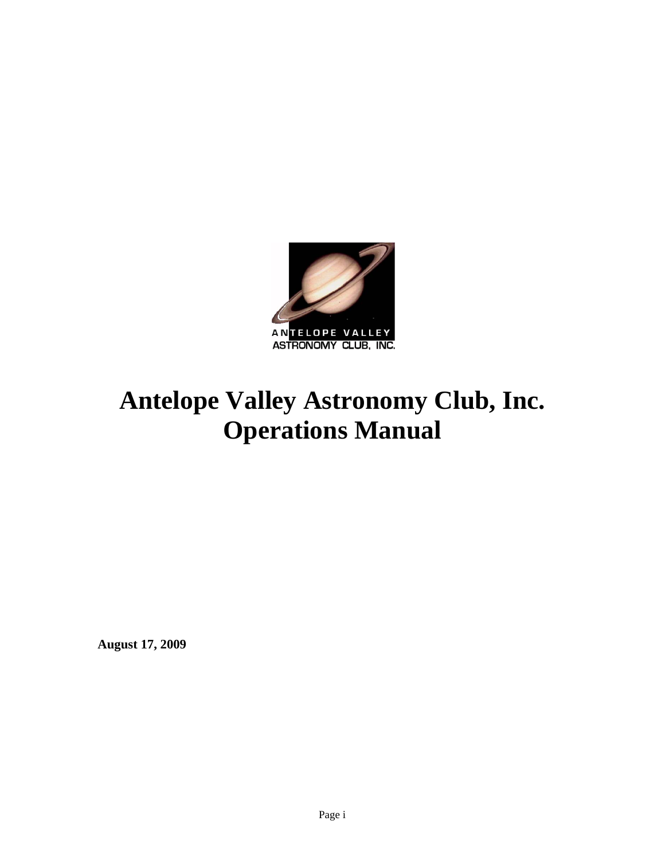

# **Antelope Valley Astronomy Club, Inc. Operations Manual**

**August 17, 2009**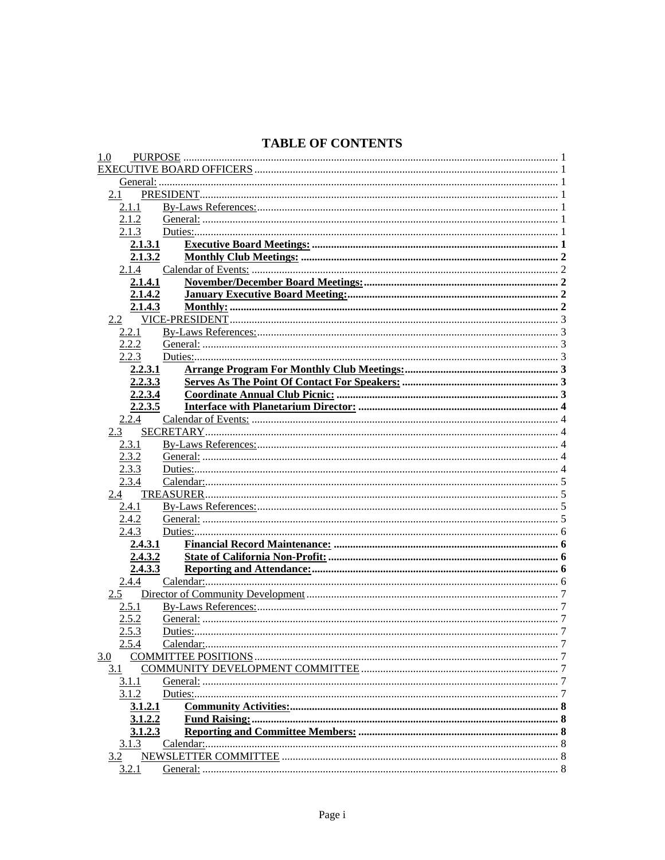### **TABLE OF CONTENTS**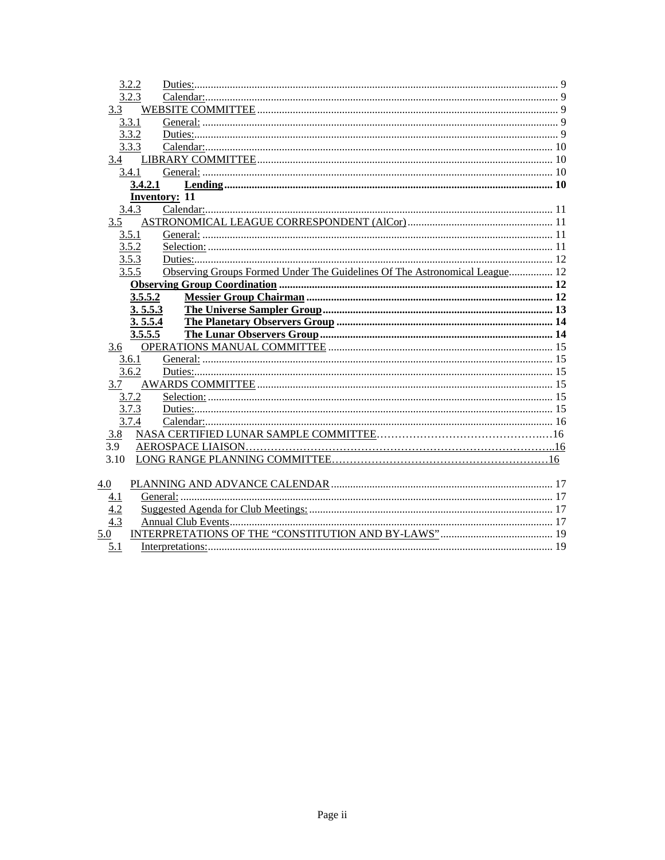|                                        | 3.2.2   |                                                                            |  |
|----------------------------------------|---------|----------------------------------------------------------------------------|--|
|                                        | 3.2.3   |                                                                            |  |
| 3.3                                    |         |                                                                            |  |
|                                        | 3.3.1   |                                                                            |  |
|                                        | 3.3.2   |                                                                            |  |
|                                        | 3.3.3   |                                                                            |  |
|                                        |         |                                                                            |  |
|                                        | 3.4.1   |                                                                            |  |
|                                        | 3.4.2.1 |                                                                            |  |
|                                        |         | <b>Inventory: 11</b>                                                       |  |
|                                        | 3.4.3   |                                                                            |  |
| 3.5                                    |         |                                                                            |  |
|                                        | 3.5.1   |                                                                            |  |
|                                        | 3.5.2   |                                                                            |  |
|                                        | 3.5.3   |                                                                            |  |
|                                        | 3.5.5   | Observing Groups Formed Under The Guidelines Of The Astronomical League 12 |  |
|                                        |         |                                                                            |  |
|                                        | 3.5.5.2 |                                                                            |  |
|                                        | 3.5.5.3 |                                                                            |  |
|                                        |         |                                                                            |  |
|                                        | 3.5.5.4 |                                                                            |  |
|                                        | 3.5.5.5 |                                                                            |  |
| 3.6                                    |         |                                                                            |  |
|                                        | 3.6.1   |                                                                            |  |
|                                        | 3.6.2   |                                                                            |  |
| 3.7                                    |         |                                                                            |  |
|                                        | 3.7.2   |                                                                            |  |
|                                        | 3.7.3   |                                                                            |  |
|                                        | 3.7.4   |                                                                            |  |
| 3.8                                    |         |                                                                            |  |
| 3.9                                    |         |                                                                            |  |
| 3.10                                   |         |                                                                            |  |
|                                        |         |                                                                            |  |
| 4.0                                    |         |                                                                            |  |
|                                        |         |                                                                            |  |
|                                        |         |                                                                            |  |
| $\frac{4.1}{4.2}$<br>$\frac{4.3}{4.3}$ |         |                                                                            |  |
| 5.0                                    |         | 5.1 Interpretations<br>$\sim$ 19                                           |  |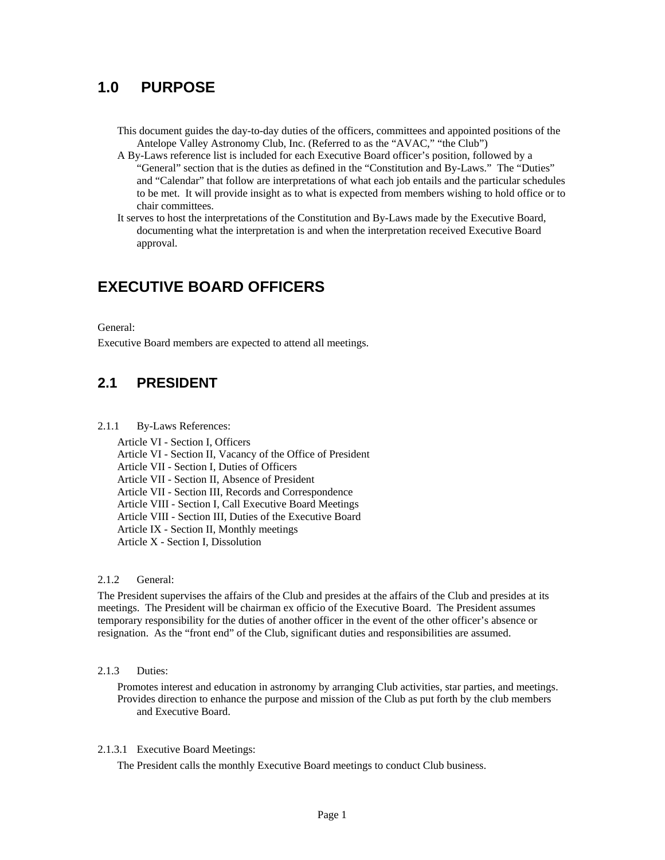### <span id="page-3-0"></span>**1.0 PURPOSE**

- This document guides the day-to-day duties of the officers, committees and appointed positions of the Antelope Valley Astronomy Club, Inc. (Referred to as the "AVAC," "the Club")
- A By-Laws reference list is included for each Executive Board officer's position, followed by a "General" section that is the duties as defined in the "Constitution and By-Laws." The "Duties" and "Calendar" that follow are interpretations of what each job entails and the particular schedules to be met. It will provide insight as to what is expected from members wishing to hold office or to chair committees.
- It serves to host the interpretations of the Constitution and By-Laws made by the Executive Board, documenting what the interpretation is and when the interpretation received Executive Board approval.

### <span id="page-3-1"></span>**EXECUTIVE BOARD OFFICERS**

#### <span id="page-3-2"></span>General:

Executive Board members are expected to attend all meetings.

### <span id="page-3-3"></span>**2.1 PRESIDENT**

#### <span id="page-3-4"></span>2.1.1 By-Laws References:

Article VI - Section I, Officers Article VI - Section II, Vacancy of the Office of President Article VII - Section I, Duties of Officers Article VII - Section II, Absence of President Article VII - Section III, Records and Correspondence Article VIII - Section I, Call Executive Board Meetings Article VIII - Section III, Duties of the Executive Board Article IX - Section II, Monthly meetings Article X - Section I, Dissolution

#### <span id="page-3-5"></span>2.1.2 General:

The President supervises the affairs of the Club and presides at the affairs of the Club and presides at its meetings. The President will be chairman ex officio of the Executive Board. The President assumes temporary responsibility for the duties of another officer in the event of the other officer's absence or resignation. As the "front end" of the Club, significant duties and responsibilities are assumed.

#### <span id="page-3-6"></span>2.1.3 Duties:

Promotes interest and education in astronomy by arranging Club activities, star parties, and meetings. Provides direction to enhance the purpose and mission of the Club as put forth by the club members and Executive Board.

#### <span id="page-3-7"></span>2.1.3.1 Executive Board Meetings:

The President calls the monthly Executive Board meetings to conduct Club business.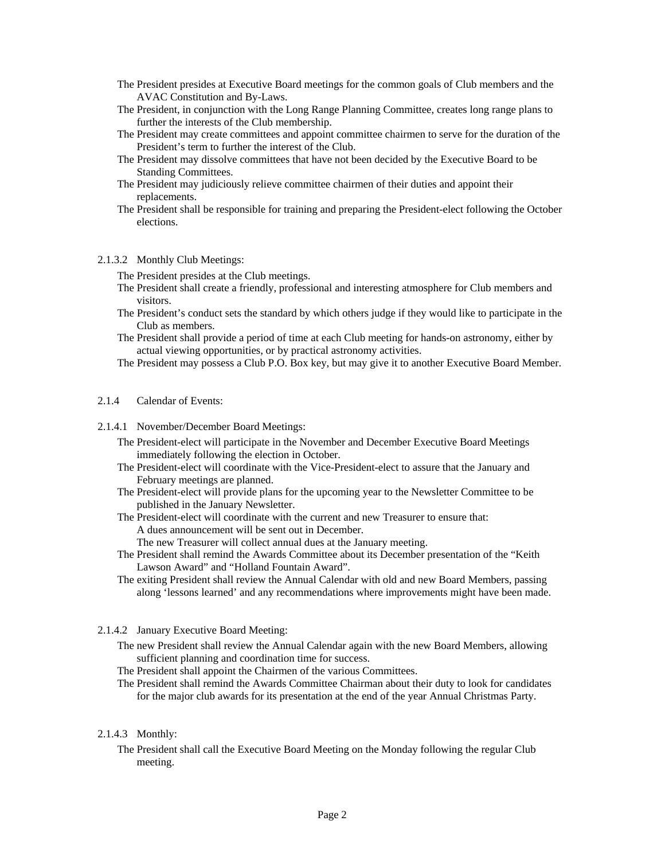- The President presides at Executive Board meetings for the common goals of Club members and the AVAC Constitution and By-Laws.
- The President, in conjunction with the Long Range Planning Committee, creates long range plans to further the interests of the Club membership.
- The President may create committees and appoint committee chairmen to serve for the duration of the President's term to further the interest of the Club.
- The President may dissolve committees that have not been decided by the Executive Board to be Standing Committees.
- The President may judiciously relieve committee chairmen of their duties and appoint their replacements.
- The President shall be responsible for training and preparing the President-elect following the October elections.

#### <span id="page-4-0"></span>2.1.3.2 Monthly Club Meetings:

- The President presides at the Club meetings.
- The President shall create a friendly, professional and interesting atmosphere for Club members and visitors.
- The President's conduct sets the standard by which others judge if they would like to participate in the Club as members.
- The President shall provide a period of time at each Club meeting for hands-on astronomy, either by actual viewing opportunities, or by practical astronomy activities.
- The President may possess a Club P.O. Box key, but may give it to another Executive Board Member.

#### <span id="page-4-1"></span>2.1.4 Calendar of Events:

- <span id="page-4-2"></span>2.1.4.1 November/December Board Meetings:
	- The President-elect will participate in the November and December Executive Board Meetings immediately following the election in October.
	- The President-elect will coordinate with the Vice-President-elect to assure that the January and February meetings are planned.
	- The President-elect will provide plans for the upcoming year to the Newsletter Committee to be published in the January Newsletter.
	- The President-elect will coordinate with the current and new Treasurer to ensure that: A dues announcement will be sent out in December. The new Treasurer will collect annual dues at the January meeting.
	- The President shall remind the Awards Committee about its December presentation of the "Keith Lawson Award" and "Holland Fountain Award".
	- The exiting President shall review the Annual Calendar with old and new Board Members, passing along 'lessons learned' and any recommendations where improvements might have been made.

#### <span id="page-4-3"></span>2.1.4.2 January Executive Board Meeting:

- The new President shall review the Annual Calendar again with the new Board Members, allowing sufficient planning and coordination time for success.
- The President shall appoint the Chairmen of the various Committees.
- The President shall remind the Awards Committee Chairman about their duty to look for candidates for the major club awards for its presentation at the end of the year Annual Christmas Party.

#### <span id="page-4-4"></span>2.1.4.3 Monthly:

The President shall call the Executive Board Meeting on the Monday following the regular Club meeting.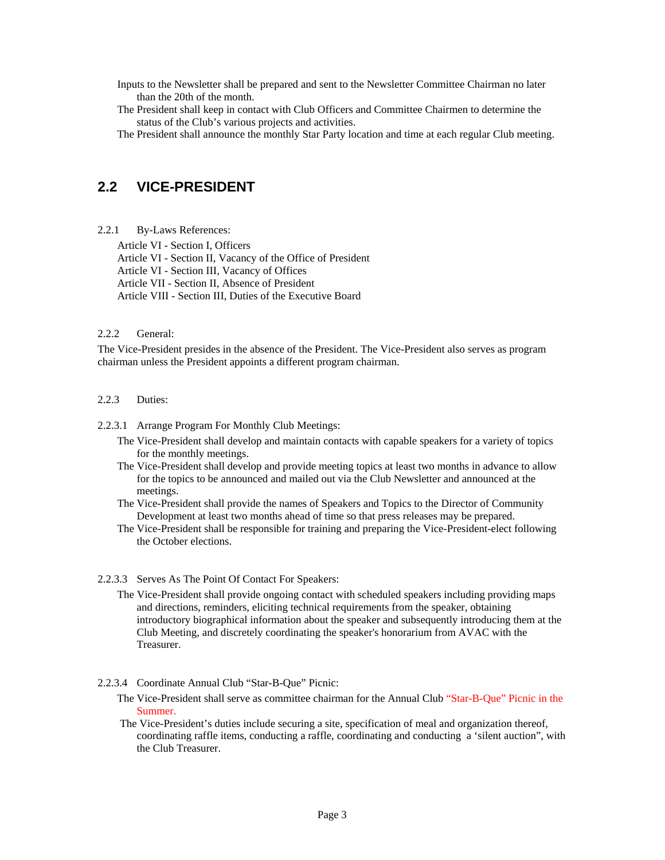Inputs to the Newsletter shall be prepared and sent to the Newsletter Committee Chairman no later than the 20th of the month.

The President shall keep in contact with Club Officers and Committee Chairmen to determine the status of the Club's various projects and activities.

The President shall announce the monthly Star Party location and time at each regular Club meeting.

### <span id="page-5-0"></span>**2.2 VICE-PRESIDENT**

<span id="page-5-1"></span>2.2.1 By-Laws References:

Article VI - Section I, Officers Article VI - Section II, Vacancy of the Office of President Article VI - Section III, Vacancy of Offices Article VII - Section II, Absence of President Article VIII - Section III, Duties of the Executive Board

#### <span id="page-5-2"></span>2.2.2 General:

The Vice-President presides in the absence of the President. The Vice-President also serves as program chairman unless the President appoints a different program chairman.

#### <span id="page-5-3"></span>2.2.3 Duties:

<span id="page-5-4"></span>2.2.3.1 Arrange Program For Monthly Club Meetings:

- The Vice-President shall develop and maintain contacts with capable speakers for a variety of topics for the monthly meetings.
- The Vice-President shall develop and provide meeting topics at least two months in advance to allow for the topics to be announced and mailed out via the Club Newsletter and announced at the meetings.
- The Vice-President shall provide the names of Speakers and Topics to the Director of Community Development at least two months ahead of time so that press releases may be prepared.
- The Vice-President shall be responsible for training and preparing the Vice-President-elect following the October elections.

#### <span id="page-5-5"></span>2.2.3.3 Serves As The Point Of Contact For Speakers:

- The Vice-President shall provide ongoing contact with scheduled speakers including providing maps and directions, reminders, eliciting technical requirements from the speaker, obtaining introductory biographical information about the speaker and subsequently introducing them at the Club Meeting, and discretely coordinating the speaker's honorarium from AVAC with the Treasurer.
- <span id="page-5-6"></span>2.2.3.4 Coordinate Annual Club "Star-B-Que" Picnic:
	- The Vice-President shall serve as committee chairman for the Annual Club "Star-B-Que" Picnic in the Summer.
	- The Vice-President's duties include securing a site, specification of meal and organization thereof, coordinating raffle items, conducting a raffle, coordinating and conducting a 'silent auction", with the Club Treasurer.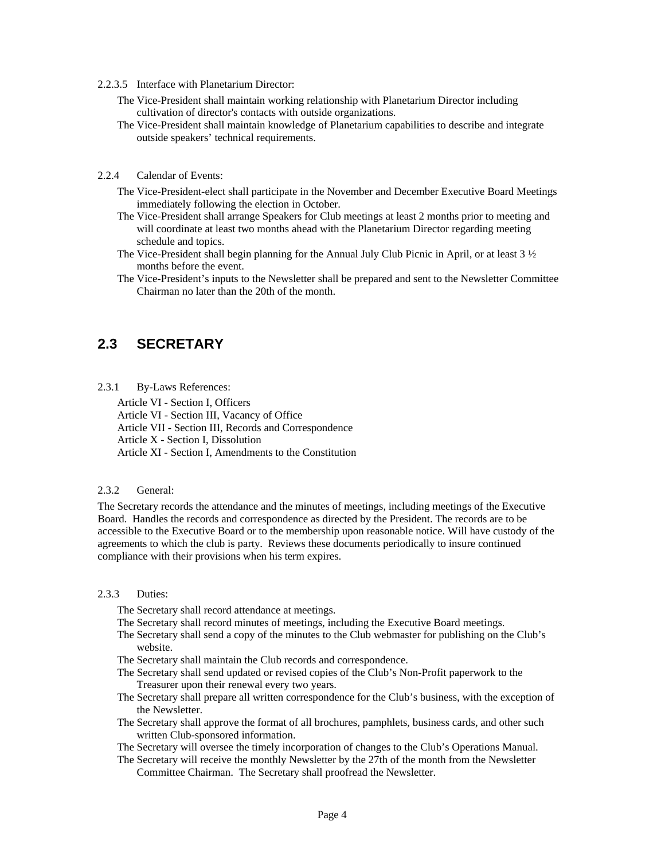- <span id="page-6-0"></span>2.2.3.5 Interface with Planetarium Director:
	- The Vice-President shall maintain working relationship with Planetarium Director including cultivation of director's contacts with outside organizations.
	- The Vice-President shall maintain knowledge of Planetarium capabilities to describe and integrate outside speakers' technical requirements.
- <span id="page-6-1"></span>2.2.4 Calendar of Events:
	- The Vice-President-elect shall participate in the November and December Executive Board Meetings immediately following the election in October.
	- The Vice-President shall arrange Speakers for Club meetings at least 2 months prior to meeting and will coordinate at least two months ahead with the Planetarium Director regarding meeting schedule and topics.
	- The Vice-President shall begin planning for the Annual July Club Picnic in April, or at least 3 ½ months before the event.
	- The Vice-President's inputs to the Newsletter shall be prepared and sent to the Newsletter Committee Chairman no later than the 20th of the month.

### <span id="page-6-2"></span>**2.3 SECRETARY**

<span id="page-6-3"></span>2.3.1 By-Laws References:

Article VI - Section I, Officers Article VI - Section III, Vacancy of Office Article VII - Section III, Records and Correspondence Article X - Section I, Dissolution Article XI - Section I, Amendments to the Constitution

#### <span id="page-6-4"></span>2.3.2 General:

The Secretary records the attendance and the minutes of meetings, including meetings of the Executive Board. Handles the records and correspondence as directed by the President. The records are to be accessible to the Executive Board or to the membership upon reasonable notice. Will have custody of the agreements to which the club is party. Reviews these documents periodically to insure continued compliance with their provisions when his term expires.

#### <span id="page-6-5"></span>2.3.3 Duties:

The Secretary shall record attendance at meetings.

- The Secretary shall record minutes of meetings, including the Executive Board meetings.
- The Secretary shall send a copy of the minutes to the Club webmaster for publishing on the Club's website.
- The Secretary shall maintain the Club records and correspondence.
- The Secretary shall send updated or revised copies of the Club's Non-Profit paperwork to the Treasurer upon their renewal every two years.
- The Secretary shall prepare all written correspondence for the Club's business, with the exception of the Newsletter.
- The Secretary shall approve the format of all brochures, pamphlets, business cards, and other such written Club-sponsored information.
- The Secretary will oversee the timely incorporation of changes to the Club's Operations Manual.
- The Secretary will receive the monthly Newsletter by the 27th of the month from the Newsletter Committee Chairman. The Secretary shall proofread the Newsletter.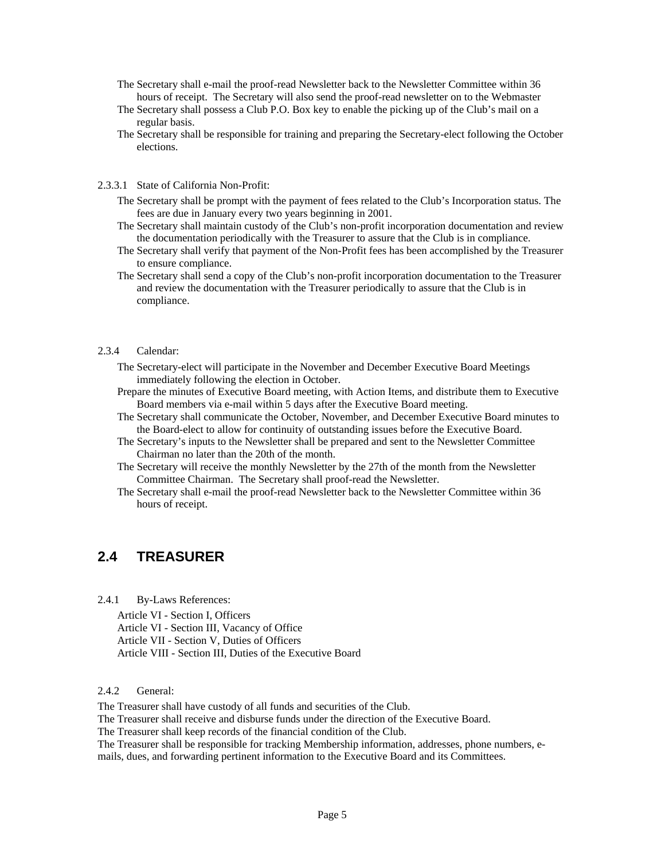- The Secretary shall e-mail the proof-read Newsletter back to the Newsletter Committee within 36 hours of receipt. The Secretary will also send the proof-read newsletter on to the Webmaster
- The Secretary shall possess a Club P.O. Box key to enable the picking up of the Club's mail on a regular basis.
- The Secretary shall be responsible for training and preparing the Secretary-elect following the October elections.

#### 2.3.3.1 State of California Non-Profit:

- The Secretary shall be prompt with the payment of fees related to the Club's Incorporation status. The fees are due in January every two years beginning in 2001.
- The Secretary shall maintain custody of the Club's non-profit incorporation documentation and review the documentation periodically with the Treasurer to assure that the Club is in compliance.
- The Secretary shall verify that payment of the Non-Profit fees has been accomplished by the Treasurer to ensure compliance.
- The Secretary shall send a copy of the Club's non-profit incorporation documentation to the Treasurer and review the documentation with the Treasurer periodically to assure that the Club is in compliance.

#### <span id="page-7-0"></span>2.3.4 Calendar:

- The Secretary-elect will participate in the November and December Executive Board Meetings immediately following the election in October.
- Prepare the minutes of Executive Board meeting, with Action Items, and distribute them to Executive Board members via e-mail within 5 days after the Executive Board meeting.
- The Secretary shall communicate the October, November, and December Executive Board minutes to the Board-elect to allow for continuity of outstanding issues before the Executive Board.
- The Secretary's inputs to the Newsletter shall be prepared and sent to the Newsletter Committee Chairman no later than the 20th of the month.
- The Secretary will receive the monthly Newsletter by the 27th of the month from the Newsletter Committee Chairman. The Secretary shall proof-read the Newsletter.
- The Secretary shall e-mail the proof-read Newsletter back to the Newsletter Committee within 36 hours of receipt.

### <span id="page-7-1"></span>**2.4 TREASURER**

<span id="page-7-2"></span>2.4.1 By-Laws References:

Article VI - Section I, Officers Article VI - Section III, Vacancy of Office Article VII - Section V, Duties of Officers Article VIII - Section III, Duties of the Executive Board

#### <span id="page-7-3"></span>2.4.2 General:

The Treasurer shall have custody of all funds and securities of the Club.

The Treasurer shall receive and disburse funds under the direction of the Executive Board.

The Treasurer shall keep records of the financial condition of the Club.

The Treasurer shall be responsible for tracking Membership information, addresses, phone numbers, emails, dues, and forwarding pertinent information to the Executive Board and its Committees.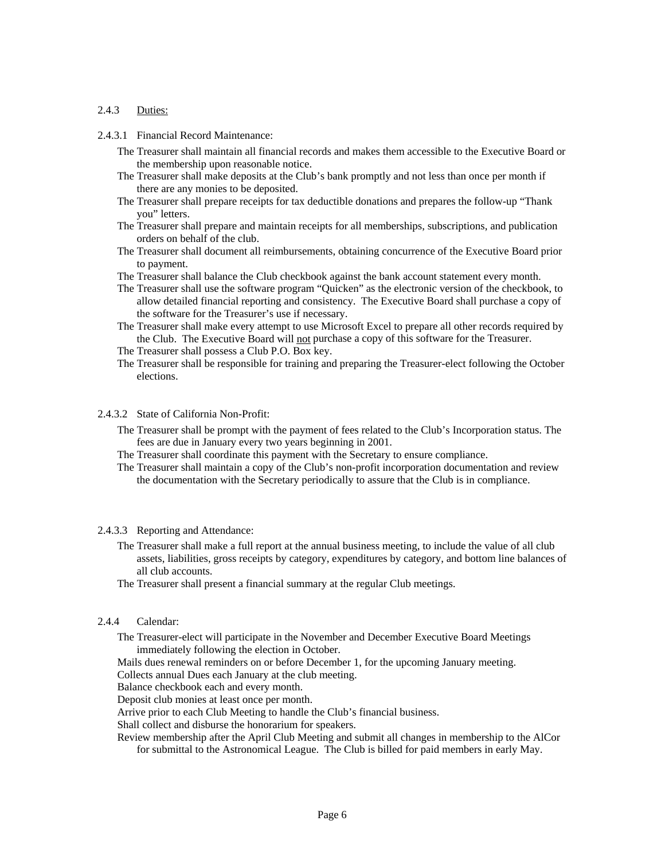#### <span id="page-8-0"></span>2.4.3 Duties:

- <span id="page-8-1"></span>2.4.3.1 Financial Record Maintenance:
	- The Treasurer shall maintain all financial records and makes them accessible to the Executive Board or the membership upon reasonable notice.
	- The Treasurer shall make deposits at the Club's bank promptly and not less than once per month if there are any monies to be deposited.
	- The Treasurer shall prepare receipts for tax deductible donations and prepares the follow-up "Thank you" letters.
	- The Treasurer shall prepare and maintain receipts for all memberships, subscriptions, and publication orders on behalf of the club.
	- The Treasurer shall document all reimbursements, obtaining concurrence of the Executive Board prior to payment.
	- The Treasurer shall balance the Club checkbook against the bank account statement every month.
	- The Treasurer shall use the software program "Quicken" as the electronic version of the checkbook, to allow detailed financial reporting and consistency. The Executive Board shall purchase a copy of the software for the Treasurer's use if necessary.
	- The Treasurer shall make every attempt to use Microsoft Excel to prepare all other records required by the Club. The Executive Board will not purchase a copy of this software for the Treasurer.
	- The Treasurer shall possess a Club P.O. Box key.
	- The Treasurer shall be responsible for training and preparing the Treasurer-elect following the October elections.
- <span id="page-8-2"></span>2.4.3.2 State of California Non-Profit:
	- The Treasurer shall be prompt with the payment of fees related to the Club's Incorporation status. The fees are due in January every two years beginning in 2001.
	- The Treasurer shall coordinate this payment with the Secretary to ensure compliance.
	- The Treasurer shall maintain a copy of the Club's non-profit incorporation documentation and review the documentation with the Secretary periodically to assure that the Club is in compliance.

#### <span id="page-8-3"></span>2.4.3.3 Reporting and Attendance:

- The Treasurer shall make a full report at the annual business meeting, to include the value of all club assets, liabilities, gross receipts by category, expenditures by category, and bottom line balances of all club accounts.
- The Treasurer shall present a financial summary at the regular Club meetings.

#### <span id="page-8-4"></span>2.4.4 Calendar:

The Treasurer-elect will participate in the November and December Executive Board Meetings immediately following the election in October.

Mails dues renewal reminders on or before December 1, for the upcoming January meeting.

Collects annual Dues each January at the club meeting.

Balance checkbook each and every month.

Deposit club monies at least once per month.

Arrive prior to each Club Meeting to handle the Club's financial business.

Shall collect and disburse the honorarium for speakers.

Review membership after the April Club Meeting and submit all changes in membership to the AlCor for submittal to the Astronomical League. The Club is billed for paid members in early May.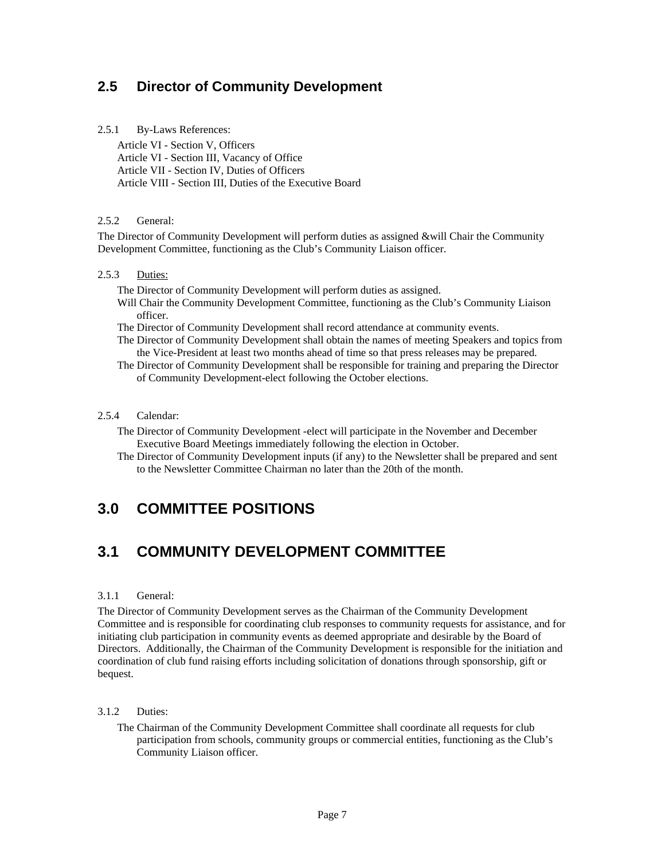### <span id="page-9-0"></span>**2.5 Director of Community Development**

#### <span id="page-9-1"></span>2.5.1 By-Laws References:

Article VI - Section V, Officers Article VI - Section III, Vacancy of Office Article VII - Section IV, Duties of Officers Article VIII - Section III, Duties of the Executive Board

#### <span id="page-9-2"></span>2.5.2 General:

The Director of Community Development will perform duties as assigned &will Chair the Community Development Committee, functioning as the Club's Community Liaison officer.

#### <span id="page-9-3"></span>2.5.3 Duties:

The Director of Community Development will perform duties as assigned.

- Will Chair the Community Development Committee, functioning as the Club's Community Liaison officer.
- The Director of Community Development shall record attendance at community events.
- The Director of Community Development shall obtain the names of meeting Speakers and topics from the Vice-President at least two months ahead of time so that press releases may be prepared.
- The Director of Community Development shall be responsible for training and preparing the Director of Community Development-elect following the October elections.

#### <span id="page-9-4"></span>2.5.4 Calendar:

- The Director of Community Development -elect will participate in the November and December Executive Board Meetings immediately following the election in October.
- The Director of Community Development inputs (if any) to the Newsletter shall be prepared and sent to the Newsletter Committee Chairman no later than the 20th of the month.

### <span id="page-9-5"></span>**3.0 COMMITTEE POSITIONS**

### <span id="page-9-6"></span>**3.1 COMMUNITY DEVELOPMENT COMMITTEE**

#### <span id="page-9-7"></span>3.1.1 General:

The Director of Community Development serves as the Chairman of the Community Development Committee and is responsible for coordinating club responses to community requests for assistance, and for initiating club participation in community events as deemed appropriate and desirable by the Board of Directors. Additionally, the Chairman of the Community Development is responsible for the initiation and coordination of club fund raising efforts including solicitation of donations through sponsorship, gift or bequest.

#### <span id="page-9-8"></span>3.1.2 Duties:

The Chairman of the Community Development Committee shall coordinate all requests for club participation from schools, community groups or commercial entities, functioning as the Club's Community Liaison officer.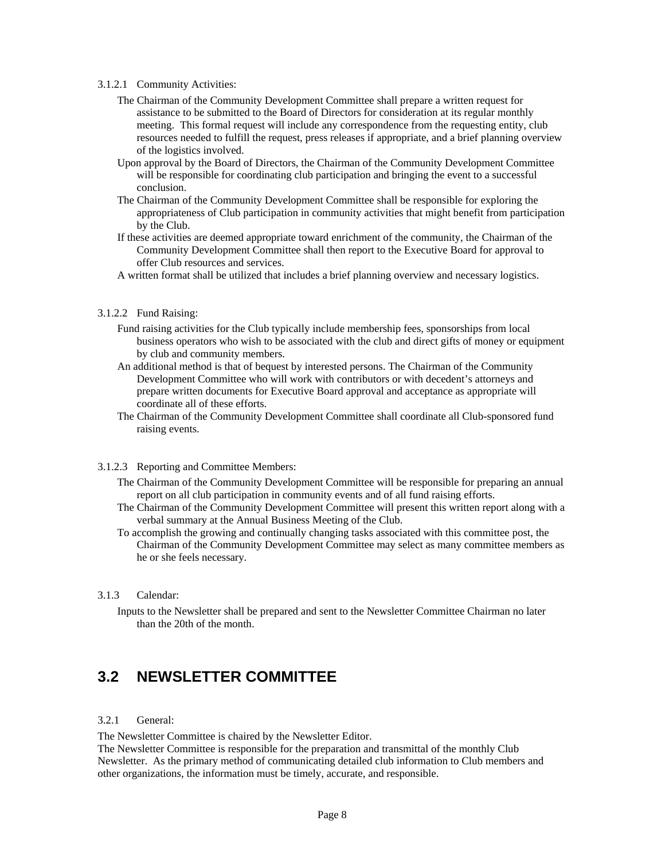#### <span id="page-10-0"></span>3.1.2.1 Community Activities:

- The Chairman of the Community Development Committee shall prepare a written request for assistance to be submitted to the Board of Directors for consideration at its regular monthly meeting. This formal request will include any correspondence from the requesting entity, club resources needed to fulfill the request, press releases if appropriate, and a brief planning overview of the logistics involved.
- Upon approval by the Board of Directors, the Chairman of the Community Development Committee will be responsible for coordinating club participation and bringing the event to a successful conclusion.
- The Chairman of the Community Development Committee shall be responsible for exploring the appropriateness of Club participation in community activities that might benefit from participation by the Club.
- If these activities are deemed appropriate toward enrichment of the community, the Chairman of the Community Development Committee shall then report to the Executive Board for approval to offer Club resources and services.
- A written format shall be utilized that includes a brief planning overview and necessary logistics.

#### <span id="page-10-1"></span>3.1.2.2 Fund Raising:

- Fund raising activities for the Club typically include membership fees, sponsorships from local business operators who wish to be associated with the club and direct gifts of money or equipment by club and community members.
- An additional method is that of bequest by interested persons. The Chairman of the Community Development Committee who will work with contributors or with decedent's attorneys and prepare written documents for Executive Board approval and acceptance as appropriate will coordinate all of these efforts.
- The Chairman of the Community Development Committee shall coordinate all Club-sponsored fund raising events.

#### <span id="page-10-2"></span>3.1.2.3 Reporting and Committee Members:

- The Chairman of the Community Development Committee will be responsible for preparing an annual report on all club participation in community events and of all fund raising efforts.
- The Chairman of the Community Development Committee will present this written report along with a verbal summary at the Annual Business Meeting of the Club.
- To accomplish the growing and continually changing tasks associated with this committee post, the Chairman of the Community Development Committee may select as many committee members as he or she feels necessary.

#### <span id="page-10-3"></span>3.1.3 Calendar:

Inputs to the Newsletter shall be prepared and sent to the Newsletter Committee Chairman no later than the 20th of the month.

### <span id="page-10-4"></span>**3.2 NEWSLETTER COMMITTEE**

#### <span id="page-10-5"></span>3.2.1 General:

The Newsletter Committee is chaired by the Newsletter Editor.

The Newsletter Committee is responsible for the preparation and transmittal of the monthly Club Newsletter. As the primary method of communicating detailed club information to Club members and other organizations, the information must be timely, accurate, and responsible.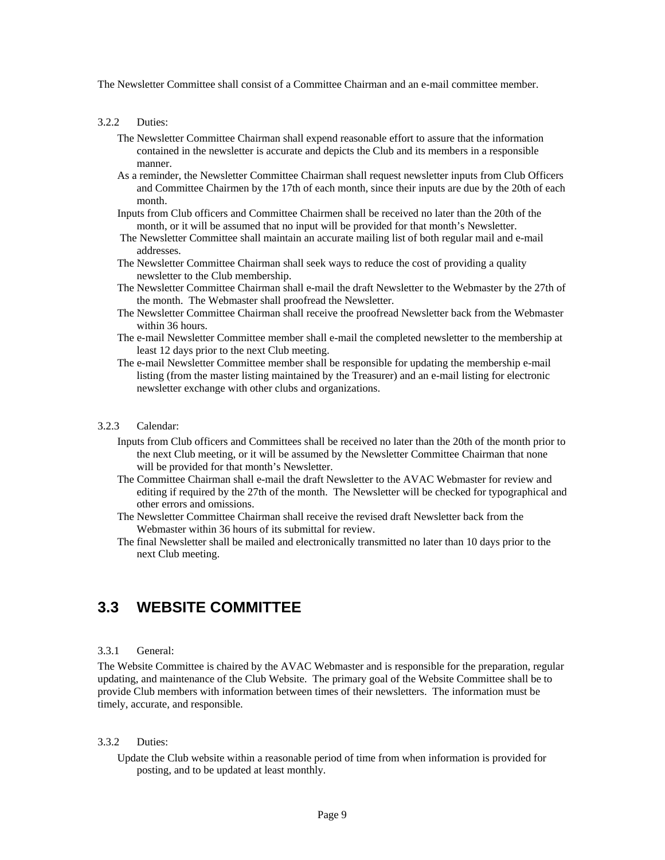The Newsletter Committee shall consist of a Committee Chairman and an e-mail committee member.

#### <span id="page-11-0"></span>3.2.2 Duties:

- The Newsletter Committee Chairman shall expend reasonable effort to assure that the information contained in the newsletter is accurate and depicts the Club and its members in a responsible manner.
- As a reminder, the Newsletter Committee Chairman shall request newsletter inputs from Club Officers and Committee Chairmen by the 17th of each month, since their inputs are due by the 20th of each month.
- Inputs from Club officers and Committee Chairmen shall be received no later than the 20th of the month, or it will be assumed that no input will be provided for that month's Newsletter.
- The Newsletter Committee shall maintain an accurate mailing list of both regular mail and e-mail addresses.
- The Newsletter Committee Chairman shall seek ways to reduce the cost of providing a quality newsletter to the Club membership.
- The Newsletter Committee Chairman shall e-mail the draft Newsletter to the Webmaster by the 27th of the month. The Webmaster shall proofread the Newsletter.
- The Newsletter Committee Chairman shall receive the proofread Newsletter back from the Webmaster within 36 hours.
- The e-mail Newsletter Committee member shall e-mail the completed newsletter to the membership at least 12 days prior to the next Club meeting.
- The e-mail Newsletter Committee member shall be responsible for updating the membership e-mail listing (from the master listing maintained by the Treasurer) and an e-mail listing for electronic newsletter exchange with other clubs and organizations.

#### <span id="page-11-1"></span>3.2.3 Calendar:

- Inputs from Club officers and Committees shall be received no later than the 20th of the month prior to the next Club meeting, or it will be assumed by the Newsletter Committee Chairman that none will be provided for that month's Newsletter.
- The Committee Chairman shall e-mail the draft Newsletter to the AVAC Webmaster for review and editing if required by the 27th of the month. The Newsletter will be checked for typographical and other errors and omissions.
- The Newsletter Committee Chairman shall receive the revised draft Newsletter back from the Webmaster within 36 hours of its submittal for review.
- The final Newsletter shall be mailed and electronically transmitted no later than 10 days prior to the next Club meeting.

### <span id="page-11-2"></span>**3.3 WEBSITE COMMITTEE**

#### <span id="page-11-3"></span>3.3.1 General:

The Website Committee is chaired by the AVAC Webmaster and is responsible for the preparation, regular updating, and maintenance of the Club Website. The primary goal of the Website Committee shall be to provide Club members with information between times of their newsletters. The information must be timely, accurate, and responsible.

#### <span id="page-11-4"></span>3.3.2 Duties:

Update the Club website within a reasonable period of time from when information is provided for posting, and to be updated at least monthly.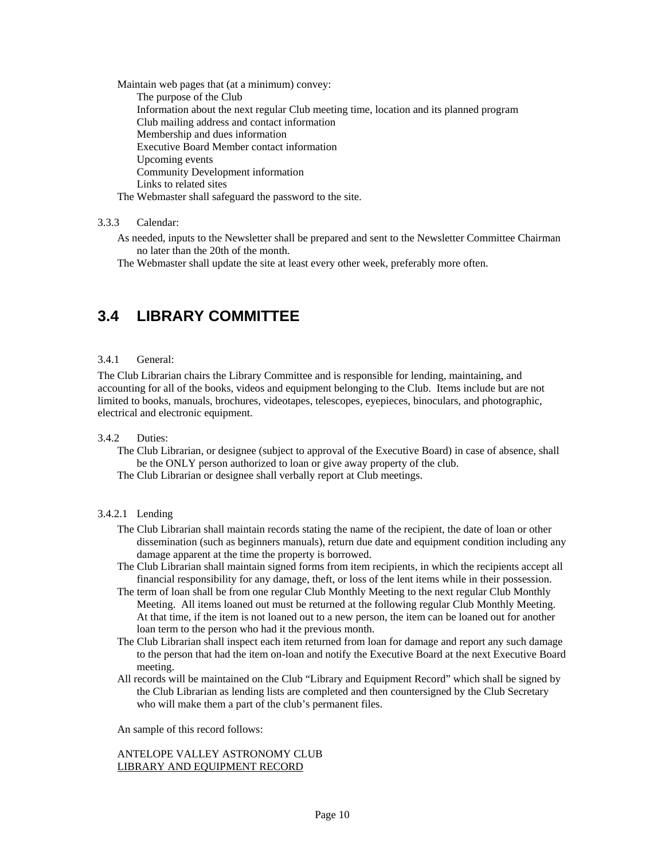Maintain web pages that (at a minimum) convey: The purpose of the Club Information about the next regular Club meeting time, location and its planned program Club mailing address and contact information Membership and dues information Executive Board Member contact information Upcoming events Community Development information Links to related sites

The Webmaster shall safeguard the password to the site.

#### <span id="page-12-0"></span>3.3.3 Calendar:

As needed, inputs to the Newsletter shall be prepared and sent to the Newsletter Committee Chairman no later than the 20th of the month.

The Webmaster shall update the site at least every other week, preferably more often.

### <span id="page-12-1"></span>**3.4 LIBRARY COMMITTEE**

#### <span id="page-12-2"></span>3.4.1 General:

The Club Librarian chairs the Library Committee and is responsible for lending, maintaining, and accounting for all of the books, videos and equipment belonging to the Club. Items include but are not limited to books, manuals, brochures, videotapes, telescopes, eyepieces, binoculars, and photographic, electrical and electronic equipment.

#### 3.4.2 Duties:

- The Club Librarian, or designee (subject to approval of the Executive Board) in case of absence, shall be the ONLY person authorized to loan or give away property of the club.
- The Club Librarian or designee shall verbally report at Club meetings.

#### <span id="page-12-3"></span>3.4.2.1 Lending

- The Club Librarian shall maintain records stating the name of the recipient, the date of loan or other dissemination (such as beginners manuals), return due date and equipment condition including any damage apparent at the time the property is borrowed.
- The Club Librarian shall maintain signed forms from item recipients, in which the recipients accept all financial responsibility for any damage, theft, or loss of the lent items while in their possession.
- The term of loan shall be from one regular Club Monthly Meeting to the next regular Club Monthly Meeting. All items loaned out must be returned at the following regular Club Monthly Meeting. At that time, if the item is not loaned out to a new person, the item can be loaned out for another loan term to the person who had it the previous month.
- The Club Librarian shall inspect each item returned from loan for damage and report any such damage to the person that had the item on-loan and notify the Executive Board at the next Executive Board meeting.
- All records will be maintained on the Club "Library and Equipment Record" which shall be signed by the Club Librarian as lending lists are completed and then countersigned by the Club Secretary who will make them a part of the club's permanent files.

An sample of this record follows:

#### ANTELOPE VALLEY ASTRONOMY CLUB LIBRARY AND EQUIPMENT RECORD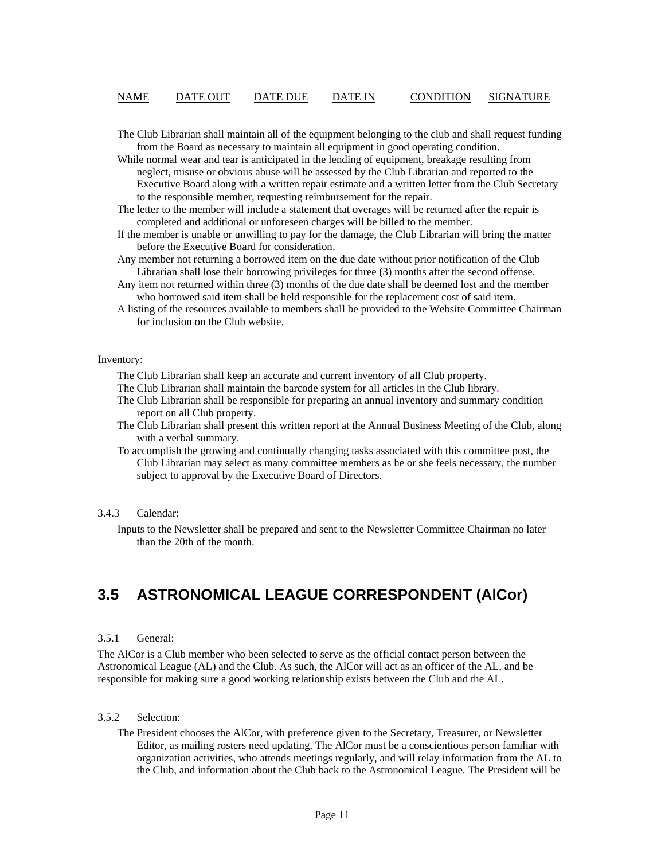#### NAME DATE OUT DATE DUE DATE IN CONDITION SIGNATURE

The Club Librarian shall maintain all of the equipment belonging to the club and shall request funding from the Board as necessary to maintain all equipment in good operating condition.

While normal wear and tear is anticipated in the lending of equipment, breakage resulting from neglect, misuse or obvious abuse will be assessed by the Club Librarian and reported to the Executive Board along with a written repair estimate and a written letter from the Club Secretary to the responsible member, requesting reimbursement for the repair.

- The letter to the member will include a statement that overages will be returned after the repair is completed and additional or unforeseen charges will be billed to the member.
- If the member is unable or unwilling to pay for the damage, the Club Librarian will bring the matter before the Executive Board for consideration.

Any member not returning a borrowed item on the due date without prior notification of the Club Librarian shall lose their borrowing privileges for three (3) months after the second offense.

- Any item not returned within three (3) months of the due date shall be deemed lost and the member who borrowed said item shall be held responsible for the replacement cost of said item.
- A listing of the resources available to members shall be provided to the Website Committee Chairman for inclusion on the Club website.

#### <span id="page-13-0"></span>Inventory:

The Club Librarian shall keep an accurate and current inventory of all Club property.

The Club Librarian shall maintain the barcode system for all articles in the Club library.

- The Club Librarian shall be responsible for preparing an annual inventory and summary condition report on all Club property.
- The Club Librarian shall present this written report at the Annual Business Meeting of the Club, along with a verbal summary.
- To accomplish the growing and continually changing tasks associated with this committee post, the Club Librarian may select as many committee members as he or she feels necessary, the number subject to approval by the Executive Board of Directors.

#### <span id="page-13-1"></span>3.4.3 Calendar:

Inputs to the Newsletter shall be prepared and sent to the Newsletter Committee Chairman no later than the 20th of the month.

### <span id="page-13-2"></span>**3.5 ASTRONOMICAL LEAGUE CORRESPONDENT (AlCor)**

#### <span id="page-13-3"></span>3.5.1 General:

The AlCor is a Club member who been selected to serve as the official contact person between the Astronomical League (AL) and the Club. As such, the AlCor will act as an officer of the AL, and be responsible for making sure a good working relationship exists between the Club and the AL.

#### <span id="page-13-4"></span>3.5.2 Selection:

The President chooses the AlCor, with preference given to the Secretary, Treasurer, or Newsletter Editor, as mailing rosters need updating. The AlCor must be a conscientious person familiar with organization activities, who attends meetings regularly, and will relay information from the AL to the Club, and information about the Club back to the Astronomical League. The President will be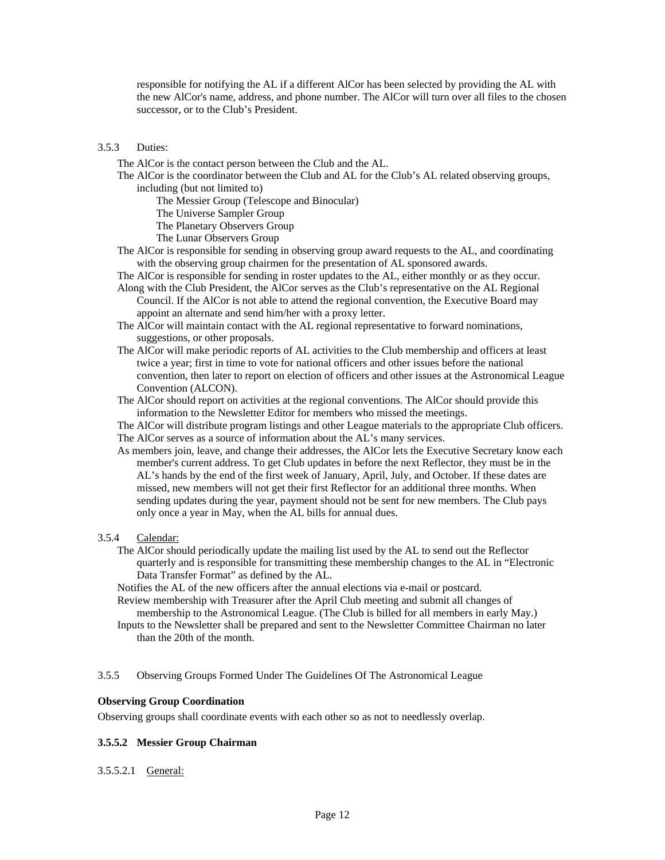responsible for notifying the AL if a different AlCor has been selected by providing the AL with the new AlCor's name, address, and phone number. The AlCor will turn over all files to the chosen successor, or to the Club's President.

#### <span id="page-14-0"></span>3.5.3 Duties:

The AlCor is the contact person between the Club and the AL.

The AlCor is the coordinator between the Club and AL for the Club's AL related observing groups, including (but not limited to)

The Messier Group (Telescope and Binocular)

The Universe Sampler Group

The Planetary Observers Group

The Lunar Observers Group

- The AlCor is responsible for sending in observing group award requests to the AL, and coordinating with the observing group chairmen for the presentation of AL sponsored awards.
- The AlCor is responsible for sending in roster updates to the AL, either monthly or as they occur. Along with the Club President, the AlCor serves as the Club's representative on the AL Regional Council. If the AlCor is not able to attend the regional convention, the Executive Board may

appoint an alternate and send him/her with a proxy letter.

- The AlCor will maintain contact with the AL regional representative to forward nominations, suggestions, or other proposals.
- The AlCor will make periodic reports of AL activities to the Club membership and officers at least twice a year; first in time to vote for national officers and other issues before the national convention, then later to report on election of officers and other issues at the Astronomical League Convention (ALCON).

The AlCor should report on activities at the regional conventions. The AlCor should provide this information to the Newsletter Editor for members who missed the meetings.

The AlCor will distribute program listings and other League materials to the appropriate Club officers. The AlCor serves as a source of information about the AL's many services.

As members join, leave, and change their addresses, the AlCor lets the Executive Secretary know each member's current address. To get Club updates in before the next Reflector, they must be in the AL's hands by the end of the first week of January, April, July, and October. If these dates are missed, new members will not get their first Reflector for an additional three months. When sending updates during the year, payment should not be sent for new members. The Club pays only once a year in May, when the AL bills for annual dues.

#### 3.5.4 Calendar:

The AlCor should periodically update the mailing list used by the AL to send out the Reflector quarterly and is responsible for transmitting these membership changes to the AL in "Electronic Data Transfer Format" as defined by the AL.

Notifies the AL of the new officers after the annual elections via e-mail or postcard.

- Review membership with Treasurer after the April Club meeting and submit all changes of membership to the Astronomical League. (The Club is billed for all members in early May.)
- Inputs to the Newsletter shall be prepared and sent to the Newsletter Committee Chairman no later than the 20th of the month.

#### <span id="page-14-1"></span>3.5.5 Observing Groups Formed Under The Guidelines Of The Astronomical League

#### <span id="page-14-2"></span>**Observing Group Coordination**

Observing groups shall coordinate events with each other so as not to needlessly overlap.

#### <span id="page-14-3"></span>**3.5.5.2 Messier Group Chairman**

#### 3.5.5.2.1 General: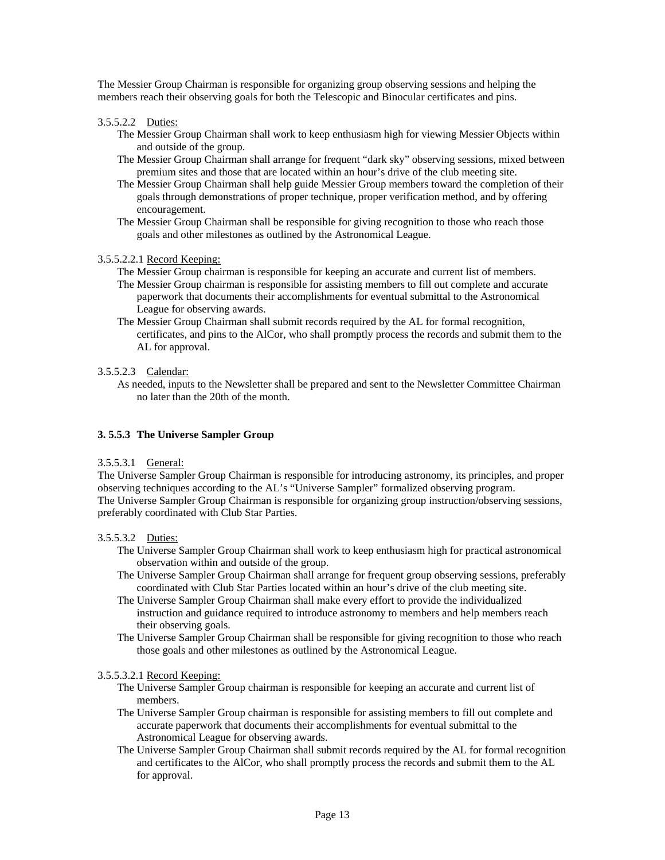The Messier Group Chairman is responsible for organizing group observing sessions and helping the members reach their observing goals for both the Telescopic and Binocular certificates and pins.

3.5.5.2.2 Duties:

- The Messier Group Chairman shall work to keep enthusiasm high for viewing Messier Objects within and outside of the group.
- The Messier Group Chairman shall arrange for frequent "dark sky" observing sessions, mixed between premium sites and those that are located within an hour's drive of the club meeting site.
- The Messier Group Chairman shall help guide Messier Group members toward the completion of their goals through demonstrations of proper technique, proper verification method, and by offering encouragement.
- The Messier Group Chairman shall be responsible for giving recognition to those who reach those goals and other milestones as outlined by the Astronomical League.

#### 3.5.5.2.2.1 Record Keeping:

- The Messier Group chairman is responsible for keeping an accurate and current list of members.
- The Messier Group chairman is responsible for assisting members to fill out complete and accurate paperwork that documents their accomplishments for eventual submittal to the Astronomical League for observing awards.
- The Messier Group Chairman shall submit records required by the AL for formal recognition, certificates, and pins to the AlCor, who shall promptly process the records and submit them to the AL for approval.

#### 3.5.5.2.3 Calendar:

As needed, inputs to the Newsletter shall be prepared and sent to the Newsletter Committee Chairman no later than the 20th of the month.

#### <span id="page-15-0"></span>**3. 5.5.3 The Universe Sampler Group**

#### 3.5.5.3.1 General:

The Universe Sampler Group Chairman is responsible for introducing astronomy, its principles, and proper observing techniques according to the AL's "Universe Sampler" formalized observing program. The Universe Sampler Group Chairman is responsible for organizing group instruction/observing sessions, preferably coordinated with Club Star Parties.

#### 3.5.5.3.2 Duties:

- The Universe Sampler Group Chairman shall work to keep enthusiasm high for practical astronomical observation within and outside of the group.
- The Universe Sampler Group Chairman shall arrange for frequent group observing sessions, preferably coordinated with Club Star Parties located within an hour's drive of the club meeting site.
- The Universe Sampler Group Chairman shall make every effort to provide the individualized instruction and guidance required to introduce astronomy to members and help members reach their observing goals.
- The Universe Sampler Group Chairman shall be responsible for giving recognition to those who reach those goals and other milestones as outlined by the Astronomical League.

#### 3.5.5.3.2.1 Record Keeping:

- The Universe Sampler Group chairman is responsible for keeping an accurate and current list of members.
- The Universe Sampler Group chairman is responsible for assisting members to fill out complete and accurate paperwork that documents their accomplishments for eventual submittal to the Astronomical League for observing awards.
- The Universe Sampler Group Chairman shall submit records required by the AL for formal recognition and certificates to the AlCor, who shall promptly process the records and submit them to the AL for approval.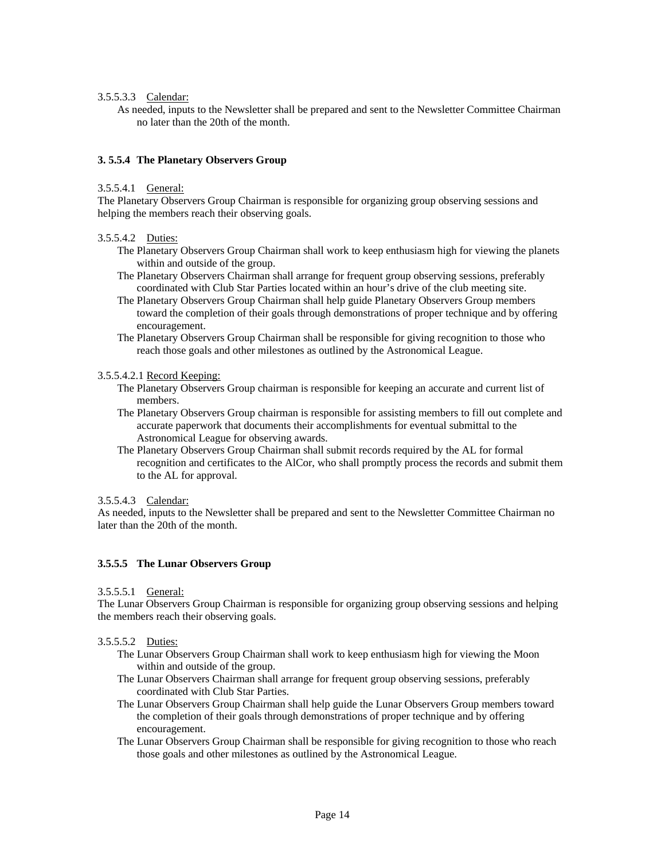#### 3.5.5.3.3 Calendar:

As needed, inputs to the Newsletter shall be prepared and sent to the Newsletter Committee Chairman no later than the 20th of the month.

#### <span id="page-16-0"></span>**3. 5.5.4 The Planetary Observers Group**

#### 3.5.5.4.1 General:

The Planetary Observers Group Chairman is responsible for organizing group observing sessions and helping the members reach their observing goals.

#### 3.5.5.4.2 Duties:

- The Planetary Observers Group Chairman shall work to keep enthusiasm high for viewing the planets within and outside of the group.
- The Planetary Observers Chairman shall arrange for frequent group observing sessions, preferably coordinated with Club Star Parties located within an hour's drive of the club meeting site.
- The Planetary Observers Group Chairman shall help guide Planetary Observers Group members toward the completion of their goals through demonstrations of proper technique and by offering encouragement.
- The Planetary Observers Group Chairman shall be responsible for giving recognition to those who reach those goals and other milestones as outlined by the Astronomical League.

#### 3.5.5.4.2.1 Record Keeping:

- The Planetary Observers Group chairman is responsible for keeping an accurate and current list of members.
- The Planetary Observers Group chairman is responsible for assisting members to fill out complete and accurate paperwork that documents their accomplishments for eventual submittal to the Astronomical League for observing awards.
- The Planetary Observers Group Chairman shall submit records required by the AL for formal recognition and certificates to the AlCor, who shall promptly process the records and submit them to the AL for approval.

#### 3.5.5.4.3 Calendar:

As needed, inputs to the Newsletter shall be prepared and sent to the Newsletter Committee Chairman no later than the 20th of the month.

#### <span id="page-16-1"></span>**3.5.5.5 The Lunar Observers Group**

#### 3.5.5.5.1 General:

The Lunar Observers Group Chairman is responsible for organizing group observing sessions and helping the members reach their observing goals.

#### 3.5.5.5.2 Duties:

- The Lunar Observers Group Chairman shall work to keep enthusiasm high for viewing the Moon within and outside of the group.
- The Lunar Observers Chairman shall arrange for frequent group observing sessions, preferably coordinated with Club Star Parties.
- The Lunar Observers Group Chairman shall help guide the Lunar Observers Group members toward the completion of their goals through demonstrations of proper technique and by offering encouragement.
- The Lunar Observers Group Chairman shall be responsible for giving recognition to those who reach those goals and other milestones as outlined by the Astronomical League.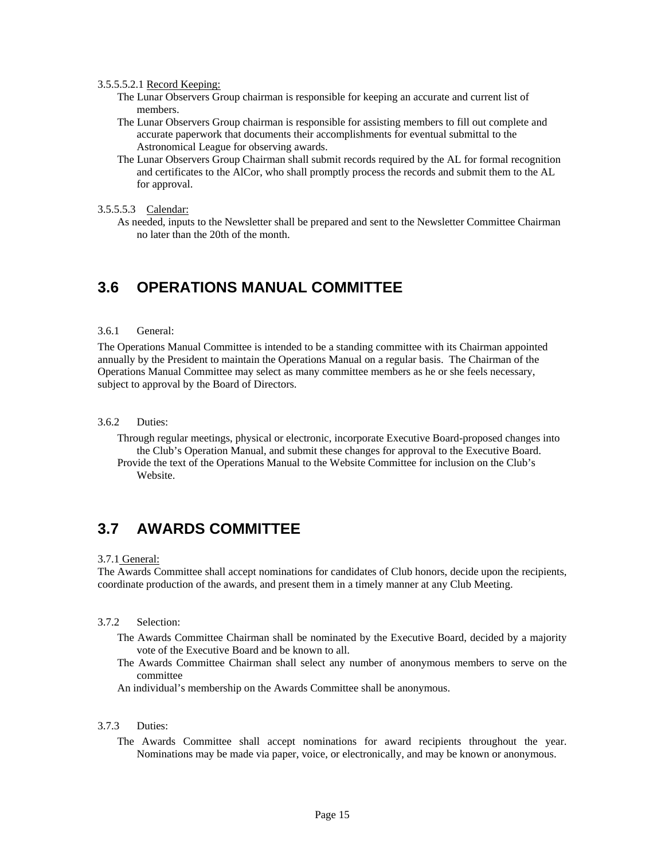#### 3.5.5.5.2.1 Record Keeping:

- The Lunar Observers Group chairman is responsible for keeping an accurate and current list of members.
- The Lunar Observers Group chairman is responsible for assisting members to fill out complete and accurate paperwork that documents their accomplishments for eventual submittal to the Astronomical League for observing awards.
- The Lunar Observers Group Chairman shall submit records required by the AL for formal recognition and certificates to the AlCor, who shall promptly process the records and submit them to the AL for approval.

#### 3.5.5.5.3 Calendar:

As needed, inputs to the Newsletter shall be prepared and sent to the Newsletter Committee Chairman no later than the 20th of the month.

### <span id="page-17-0"></span>**3.6 OPERATIONS MANUAL COMMITTEE**

#### <span id="page-17-1"></span>3.6.1 General:

The Operations Manual Committee is intended to be a standing committee with its Chairman appointed annually by the President to maintain the Operations Manual on a regular basis. The Chairman of the Operations Manual Committee may select as many committee members as he or she feels necessary, subject to approval by the Board of Directors.

#### <span id="page-17-2"></span>3.6.2 Duties:

- Through regular meetings, physical or electronic, incorporate Executive Board-proposed changes into the Club's Operation Manual, and submit these changes for approval to the Executive Board.
- Provide the text of the Operations Manual to the Website Committee for inclusion on the Club's Website.

### <span id="page-17-3"></span>**3.7 AWARDS COMMITTEE**

#### 3.7.1 General:

The Awards Committee shall accept nominations for candidates of Club honors, decide upon the recipients, coordinate production of the awards, and present them in a timely manner at any Club Meeting.

#### <span id="page-17-4"></span>3.7.2 Selection:

- The Awards Committee Chairman shall be nominated by the Executive Board, decided by a majority vote of the Executive Board and be known to all.
- The Awards Committee Chairman shall select any number of anonymous members to serve on the committee
- An individual's membership on the Awards Committee shall be anonymous.

#### <span id="page-17-5"></span>3.7.3 Duties:

The Awards Committee shall accept nominations for award recipients throughout the year. Nominations may be made via paper, voice, or electronically, and may be known or anonymous.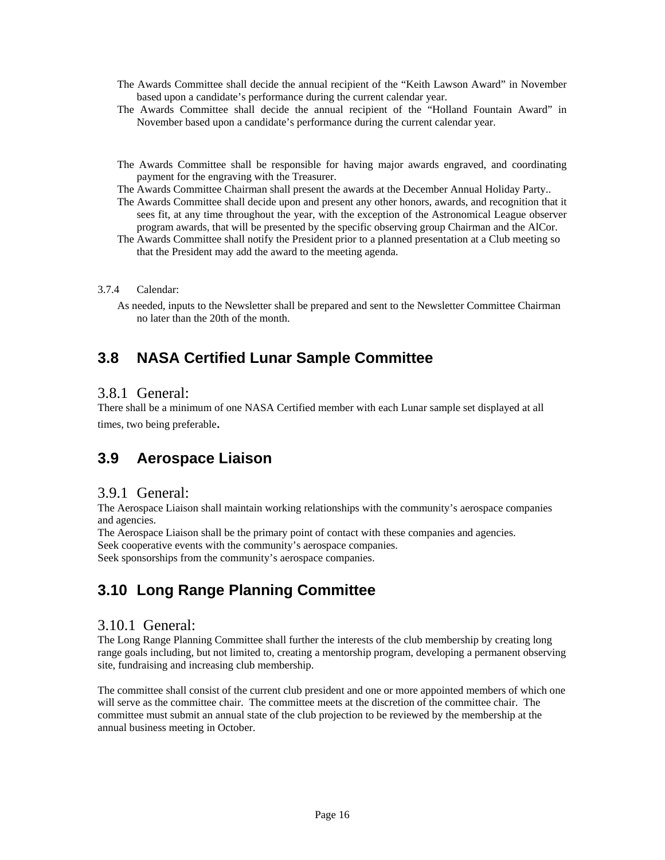- The Awards Committee shall decide the annual recipient of the "Keith Lawson Award" in November based upon a candidate's performance during the current calendar year.
- The Awards Committee shall decide the annual recipient of the "Holland Fountain Award" in November based upon a candidate's performance during the current calendar year.
- The Awards Committee shall be responsible for having major awards engraved, and coordinating payment for the engraving with the Treasurer.
- The Awards Committee Chairman shall present the awards at the December Annual Holiday Party..
- The Awards Committee shall decide upon and present any other honors, awards, and recognition that it sees fit, at any time throughout the year, with the exception of the Astronomical League observer program awards, that will be presented by the specific observing group Chairman and the AlCor.
- The Awards Committee shall notify the President prior to a planned presentation at a Club meeting so that the President may add the award to the meeting agenda.

#### <span id="page-18-0"></span>3.7.4 Calendar:

As needed, inputs to the Newsletter shall be prepared and sent to the Newsletter Committee Chairman no later than the 20th of the month.

### **3.8 NASA Certified Lunar Sample Committee**

### 3.8.1 General:

There shall be a minimum of one NASA Certified member with each Lunar sample set displayed at all times, two being preferable.

### **3.9 Aerospace Liaison**

### 3.9.1 General:

The Aerospace Liaison shall maintain working relationships with the community's aerospace companies and agencies.

The Aerospace Liaison shall be the primary point of contact with these companies and agencies. Seek cooperative events with the community's aerospace companies.

Seek sponsorships from the community's aerospace companies.

### **3.10 Long Range Planning Committee**

### 3.10.1 General:

The Long Range Planning Committee shall further the interests of the club membership by creating long range goals including, but not limited to, creating a mentorship program, developing a permanent observing site, fundraising and increasing club membership.

The committee shall consist of the current club president and one or more appointed members of which one will serve as the committee chair. The committee meets at the discretion of the committee chair. The committee must submit an annual state of the club projection to be reviewed by the membership at the annual business meeting in October.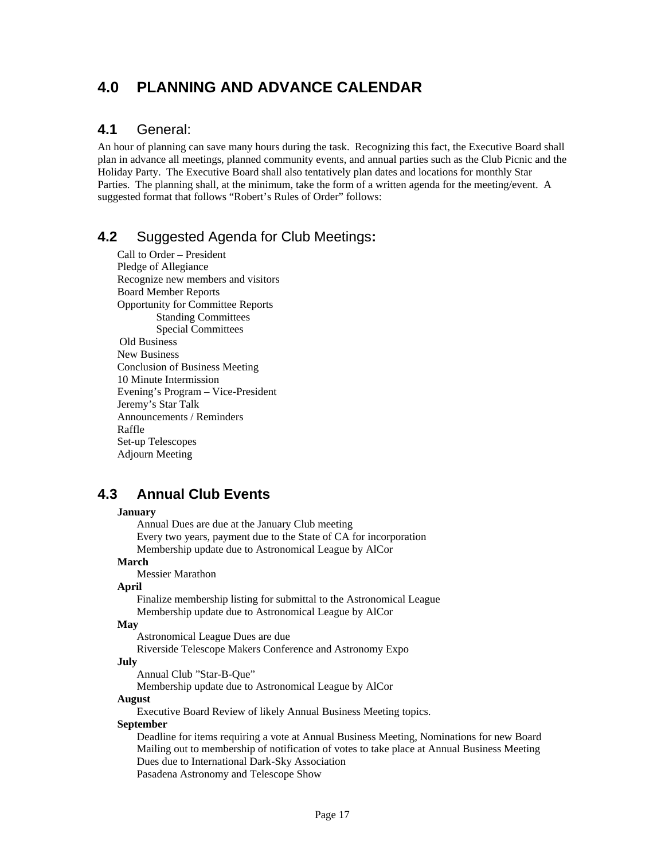### <span id="page-19-0"></span>**4.0 PLANNING AND ADVANCE CALENDAR**

### <span id="page-19-1"></span>**4.1** General:

An hour of planning can save many hours during the task. Recognizing this fact, the Executive Board shall plan in advance all meetings, planned community events, and annual parties such as the Club Picnic and the Holiday Party. The Executive Board shall also tentatively plan dates and locations for monthly Star Parties. The planning shall, at the minimum, take the form of a written agenda for the meeting/event. A suggested format that follows "Robert's Rules of Order" follows:

### <span id="page-19-2"></span>**4.2** Suggested Agenda for Club Meetings**:**

Call to Order – President Pledge of Allegiance Recognize new members and visitors Board Member Reports Opportunity for Committee Reports Standing Committees Special Committees Old Business New Business Conclusion of Business Meeting 10 Minute Intermission Evening's Program – Vice-President Jeremy's Star Talk Announcements / Reminders Raffle Set-up Telescopes Adjourn Meeting

### <span id="page-19-3"></span>**4.3 Annual Club Events**

#### **January**

 Annual Dues are due at the January Club meeting Every two years, payment due to the State of CA for incorporation Membership update due to Astronomical League by AlCor **March**  Messier Marathon **April**  Finalize membership listing for submittal to the Astronomical League Membership update due to Astronomical League by AlCor **May**  Astronomical League Dues are due Riverside Telescope Makers Conference and Astronomy Expo **July**  Annual Club "Star-B-Que" Membership update due to Astronomical League by AlCor **August**  Executive Board Review of likely Annual Business Meeting topics. **September**  Deadline for items requiring a vote at Annual Business Meeting, Nominations for new Board Mailing out to membership of notification of votes to take place at Annual Business Meeting Dues due to International Dark-Sky Association

Pasadena Astronomy and Telescope Show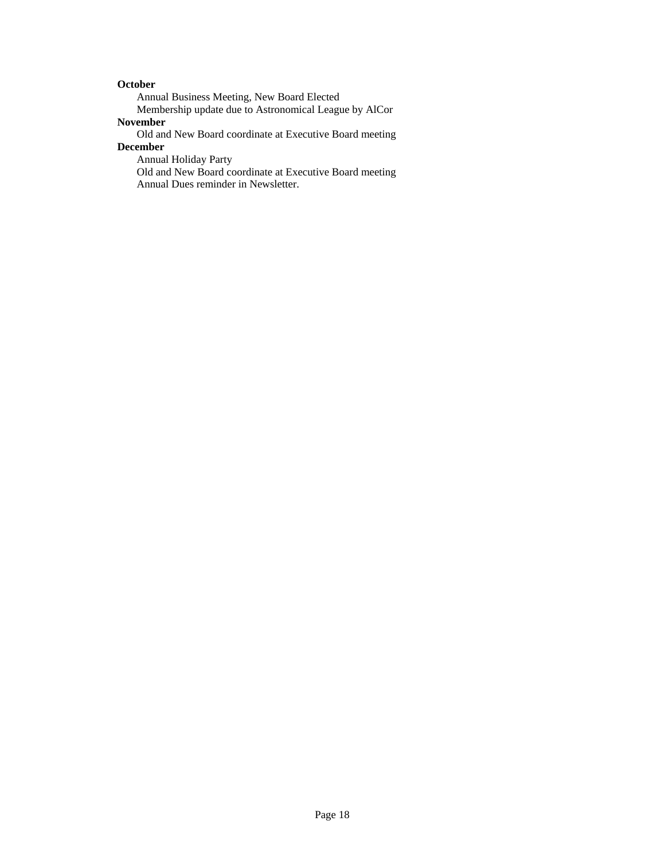#### **October**

Annual Business Meeting, New Board Elected

 Membership update due to Astronomical League by AlCor **November** 

Old and New Board coordinate at Executive Board meeting

#### **December**

Annual Holiday Party

 Old and New Board coordinate at Executive Board meeting Annual Dues reminder in Newsletter.